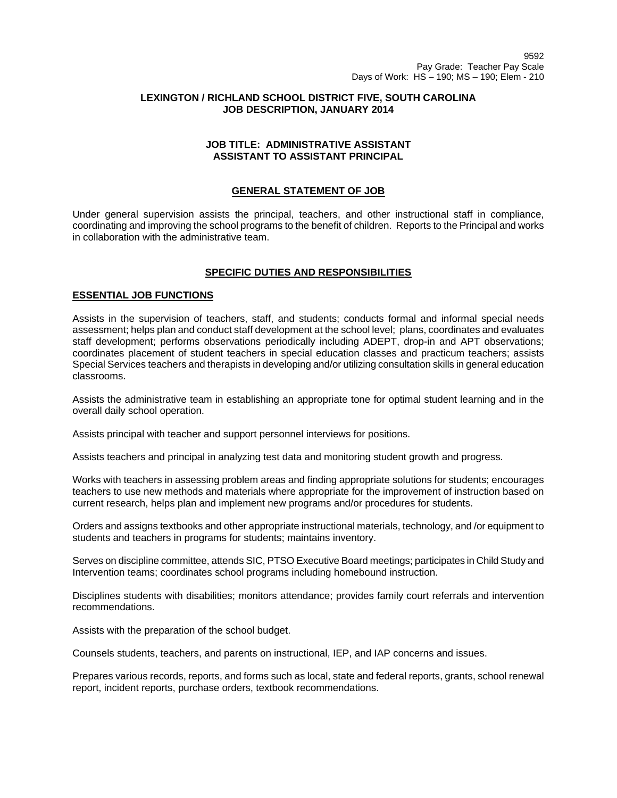## **LEXINGTON / RICHLAND SCHOOL DISTRICT FIVE, SOUTH CAROLINA JOB DESCRIPTION, JANUARY 2014**

## **JOB TITLE: ADMINISTRATIVE ASSISTANT ASSISTANT TO ASSISTANT PRINCIPAL**

# **GENERAL STATEMENT OF JOB**

Under general supervision assists the principal, teachers, and other instructional staff in compliance, coordinating and improving the school programs to the benefit of children. Reports to the Principal and works in collaboration with the administrative team.

# **SPECIFIC DUTIES AND RESPONSIBILITIES**

## **ESSENTIAL JOB FUNCTIONS**

Assists in the supervision of teachers, staff, and students; conducts formal and informal special needs assessment; helps plan and conduct staff development at the school level; plans, coordinates and evaluates staff development; performs observations periodically including ADEPT, drop-in and APT observations; coordinates placement of student teachers in special education classes and practicum teachers; assists Special Services teachers and therapists in developing and/or utilizing consultation skills in general education classrooms.

Assists the administrative team in establishing an appropriate tone for optimal student learning and in the overall daily school operation.

Assists principal with teacher and support personnel interviews for positions.

Assists teachers and principal in analyzing test data and monitoring student growth and progress.

Works with teachers in assessing problem areas and finding appropriate solutions for students; encourages teachers to use new methods and materials where appropriate for the improvement of instruction based on current research, helps plan and implement new programs and/or procedures for students.

Orders and assigns textbooks and other appropriate instructional materials, technology, and /or equipment to students and teachers in programs for students; maintains inventory.

Serves on discipline committee, attends SIC, PTSO Executive Board meetings; participates in Child Study and Intervention teams; coordinates school programs including homebound instruction.

Disciplines students with disabilities; monitors attendance; provides family court referrals and intervention recommendations.

Assists with the preparation of the school budget.

Counsels students, teachers, and parents on instructional, IEP, and IAP concerns and issues.

Prepares various records, reports, and forms such as local, state and federal reports, grants, school renewal report, incident reports, purchase orders, textbook recommendations.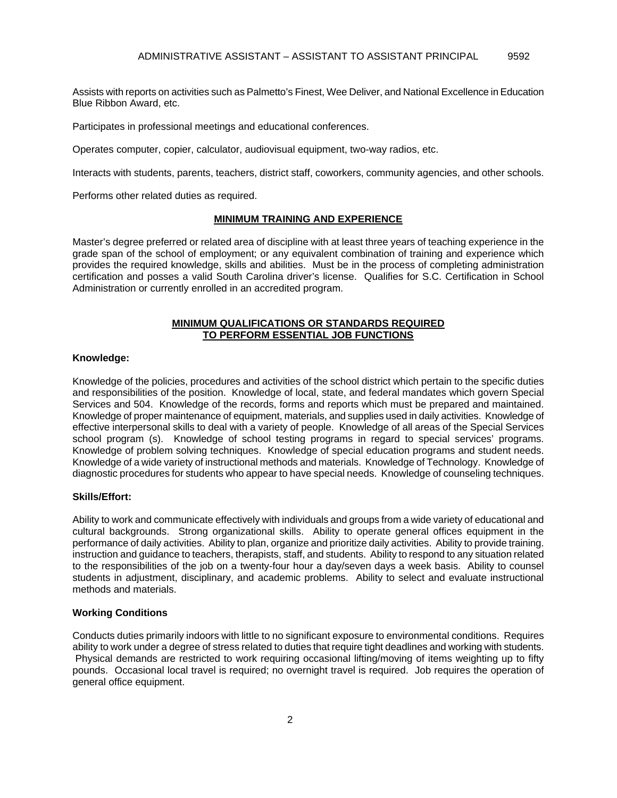Assists with reports on activities such as Palmetto's Finest, Wee Deliver, and National Excellence in Education Blue Ribbon Award, etc.

Participates in professional meetings and educational conferences.

Operates computer, copier, calculator, audiovisual equipment, two-way radios, etc.

Interacts with students, parents, teachers, district staff, coworkers, community agencies, and other schools.

Performs other related duties as required.

### **MINIMUM TRAINING AND EXPERIENCE**

Master's degree preferred or related area of discipline with at least three years of teaching experience in the grade span of the school of employment; or any equivalent combination of training and experience which provides the required knowledge, skills and abilities. Must be in the process of completing administration certification and posses a valid South Carolina driver's license. Qualifies for S.C. Certification in School Administration or currently enrolled in an accredited program.

### **MINIMUM QUALIFICATIONS OR STANDARDS REQUIRED TO PERFORM ESSENTIAL JOB FUNCTIONS**

#### **Knowledge:**

Knowledge of the policies, procedures and activities of the school district which pertain to the specific duties and responsibilities of the position. Knowledge of local, state, and federal mandates which govern Special Services and 504. Knowledge of the records, forms and reports which must be prepared and maintained. Knowledge of proper maintenance of equipment, materials, and supplies used in daily activities. Knowledge of effective interpersonal skills to deal with a variety of people. Knowledge of all areas of the Special Services school program (s). Knowledge of school testing programs in regard to special services' programs. Knowledge of problem solving techniques. Knowledge of special education programs and student needs. Knowledge of a wide variety of instructional methods and materials. Knowledge of Technology. Knowledge of diagnostic procedures for students who appear to have special needs. Knowledge of counseling techniques.

#### **Skills/Effort:**

Ability to work and communicate effectively with individuals and groups from a wide variety of educational and cultural backgrounds. Strong organizational skills. Ability to operate general offices equipment in the performance of daily activities. Ability to plan, organize and prioritize daily activities. Ability to provide training. instruction and guidance to teachers, therapists, staff, and students. Ability to respond to any situation related to the responsibilities of the job on a twenty-four hour a day/seven days a week basis. Ability to counsel students in adjustment, disciplinary, and academic problems. Ability to select and evaluate instructional methods and materials.

### **Working Conditions**

Conducts duties primarily indoors with little to no significant exposure to environmental conditions. Requires ability to work under a degree of stress related to duties that require tight deadlines and working with students. Physical demands are restricted to work requiring occasional lifting/moving of items weighting up to fifty pounds. Occasional local travel is required; no overnight travel is required. Job requires the operation of general office equipment.